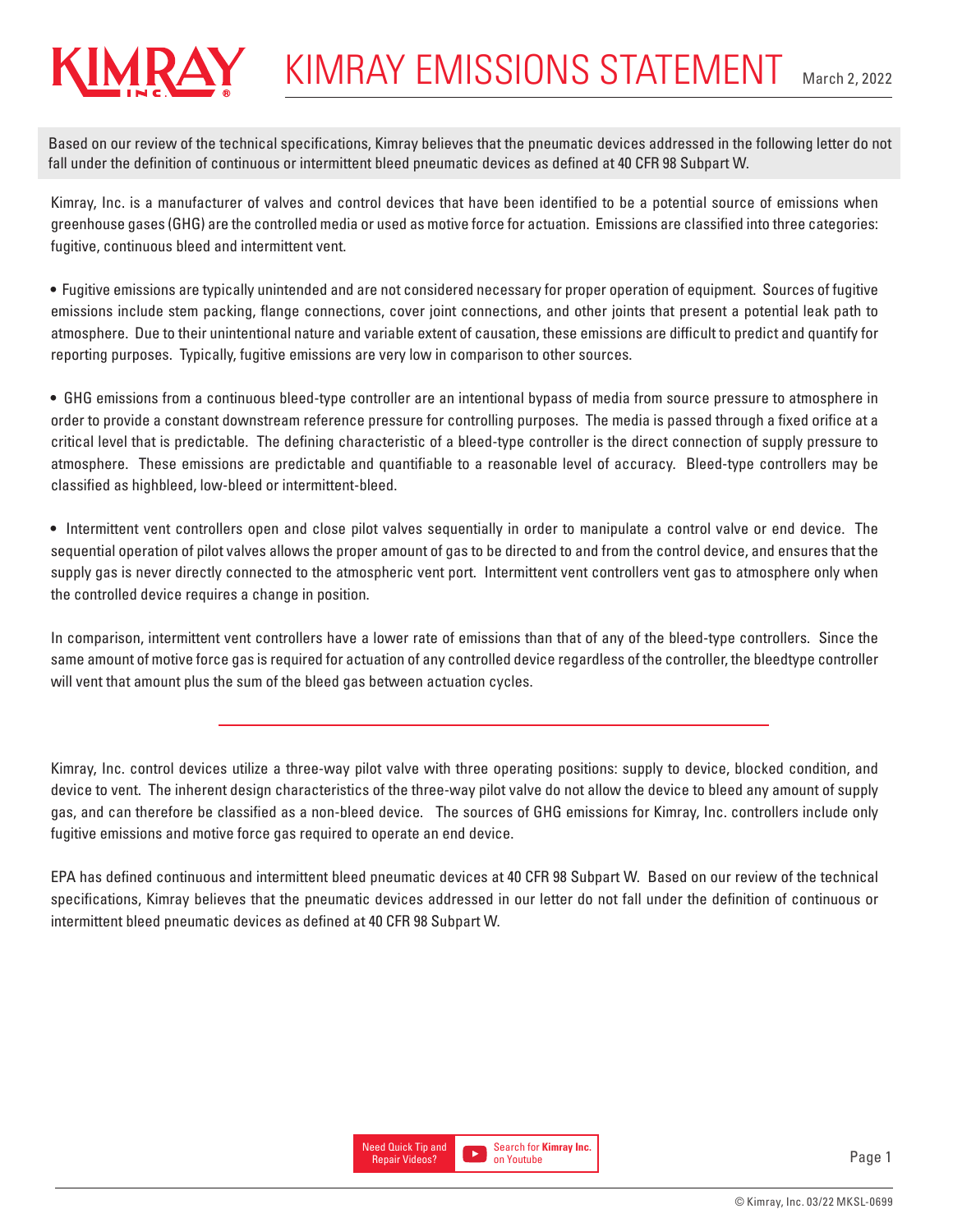## KIMRAY EMISSIONS STATEMENT March 2, 2022

Based on our review of the technical specifications, Kimray believes that the pneumatic devices addressed in the following letter do not fall under the definition of continuous or intermittent bleed pneumatic devices as defined at 40 CFR 98 Subpart W.

Kimray, Inc. is a manufacturer of valves and control devices that have been identified to be a potential source of emissions when greenhouse gases (GHG) are the controlled media or used as motive force for actuation. Emissions are classified into three categories: fugitive, continuous bleed and intermittent vent.

• Fugitive emissions are typically unintended and are not considered necessary for proper operation of equipment. Sources of fugitive emissions include stem packing, flange connections, cover joint connections, and other joints that present a potential leak path to atmosphere. Due to their unintentional nature and variable extent of causation, these emissions are difficult to predict and quantify for reporting purposes. Typically, fugitive emissions are very low in comparison to other sources.

• GHG emissions from a continuous bleed-type controller are an intentional bypass of media from source pressure to atmosphere in order to provide a constant downstream reference pressure for controlling purposes. The media is passed through a fixed orifice at a critical level that is predictable. The defining characteristic of a bleed-type controller is the direct connection of supply pressure to atmosphere. These emissions are predictable and quantifiable to a reasonable level of accuracy. Bleed-type controllers may be classified as highbleed, low-bleed or intermittent-bleed.

• Intermittent vent controllers open and close pilot valves sequentially in order to manipulate a control valve or end device. The sequential operation of pilot valves allows the proper amount of gas to be directed to and from the control device, and ensures that the supply gas is never directly connected to the atmospheric vent port. Intermittent vent controllers vent gas to atmosphere only when the controlled device requires a change in position.

In comparison, intermittent vent controllers have a lower rate of emissions than that of any of the bleed-type controllers. Since the same amount of motive force gas is required for actuation of any controlled device regardless of the controller, the bleedtype controller will vent that amount plus the sum of the bleed gas between actuation cycles.

Kimray, Inc. control devices utilize a three-way pilot valve with three operating positions: supply to device, blocked condition, and device to vent. The inherent design characteristics of the three-way pilot valve do not allow the device to bleed any amount of supply gas, and can therefore be classified as a non-bleed device. The sources of GHG emissions for Kimray, Inc. controllers include only fugitive emissions and motive force gas required to operate an end device.

EPA has defined continuous and intermittent bleed pneumatic devices at 40 CFR 98 Subpart W. Based on our review of the technical specifications, Kimray believes that the pneumatic devices addressed in our letter do not fall under the definition of continuous or intermittent bleed pneumatic devices as defined at 40 CFR 98 Subpart W.